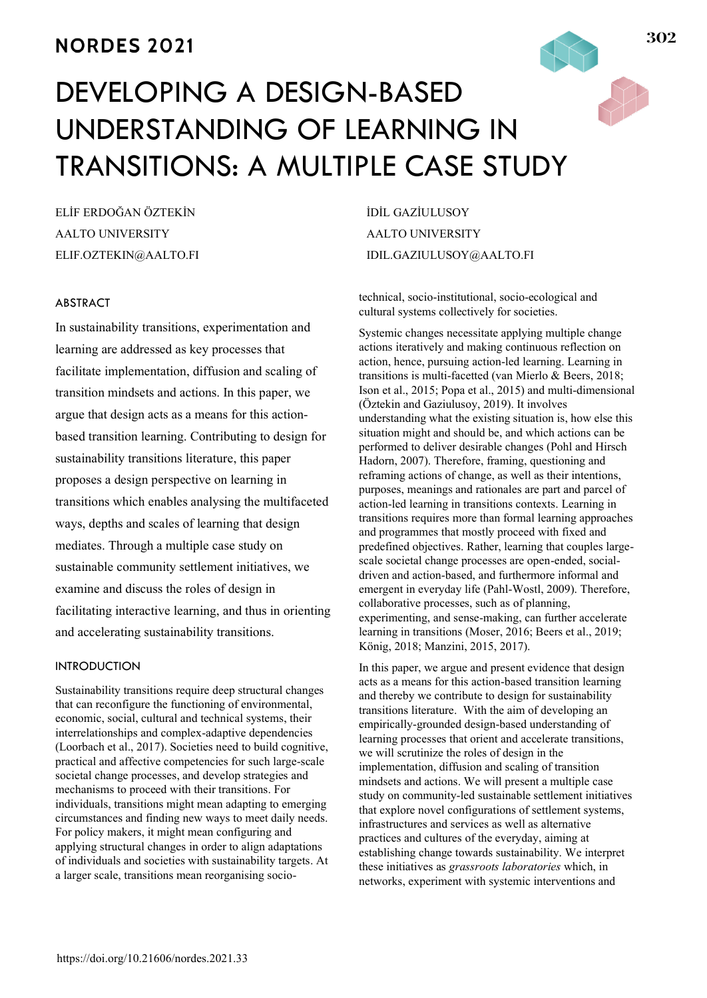# **NORDES 2021**

# DEVELOPING A DESIGN-BASED UNDERSTANDING OF LEARNING IN TRANSITIONS: A MULTIPLE CASE STUDY

ELİF ERDOĞAN ÖZTEKİN AALTO UNIVERSITY ELIF.OZTEKIN@AALTO.FI

#### ABSTRACT

In sustainability transitions, experimentation and learning are addressed as key processes that facilitate implementation, diffusion and scaling of transition mindsets and actions. In this paper, we argue that design acts as a means for this actionbased transition learning. Contributing to design for sustainability transitions literature, this paper proposes a design perspective on learning in transitions which enables analysing the multifaceted ways, depths and scales of learning that design mediates. Through a multiple case study on sustainable community settlement initiatives, we examine and discuss the roles of design in facilitating interactive learning, and thus in orienting and accelerating sustainability transitions.

## INTRODUCTION

Sustainability transitions require deep structural changes that can reconfigure the functioning of environmental, economic, social, cultural and technical systems, their interrelationships and complex-adaptive dependencies (Loorbach et al., 2017). Societies need to build cognitive, practical and affective competencies for such large-scale societal change processes, and develop strategies and mechanisms to proceed with their transitions. For individuals, transitions might mean adapting to emerging circumstances and finding new ways to meet daily needs. For policy makers, it might mean configuring and applying structural changes in order to align adaptations of individuals and societies with sustainability targets. At a larger scale, transitions mean reorganising socioİDİL GAZİULUSOY AALTO UNIVERSITY IDIL.GAZIULUSOY@AALTO.FI

technical, socio-institutional, socio-ecological and cultural systems collectively for societies.

Systemic changes necessitate applying multiple change actions iteratively and making continuous reflection on action, hence, pursuing action-led learning. Learning in transitions is multi-facetted (van Mierlo & Beers, 2018; Ison et al., 2015; Popa et al., 2015) and multi-dimensional (Öztekin and Gaziulusoy, 2019). It involves understanding what the existing situation is, how else this situation might and should be, and which actions can be performed to deliver desirable changes (Pohl and Hirsch Hadorn, 2007). Therefore, framing, questioning and reframing actions of change, as well as their intentions, purposes, meanings and rationales are part and parcel of action-led learning in transitions contexts. Learning in transitions requires more than formal learning approaches and programmes that mostly proceed with fixed and predefined objectives. Rather, learning that couples largescale societal change processes are open-ended, socialdriven and action-based, and furthermore informal and emergent in everyday life (Pahl-Wostl, 2009). Therefore, collaborative processes, such as of planning, experimenting, and sense-making, can further accelerate learning in transitions (Moser, 2016; Beers et al., 2019; König, 2018; Manzini, 2015, 2017).

In this paper, we argue and present evidence that design acts as a means for this action-based transition learning and thereby we contribute to design for sustainability transitions literature. With the aim of developing an empirically-grounded design-based understanding of learning processes that orient and accelerate transitions, we will scrutinize the roles of design in the implementation, diffusion and scaling of transition mindsets and actions. We will present a multiple case study on community-led sustainable settlement initiatives that explore novel configurations of settlement systems, infrastructures and services as well as alternative practices and cultures of the everyday, aiming at establishing change towards sustainability. We interpret these initiatives as *grassroots laboratories* which, in networks, experiment with systemic interventions and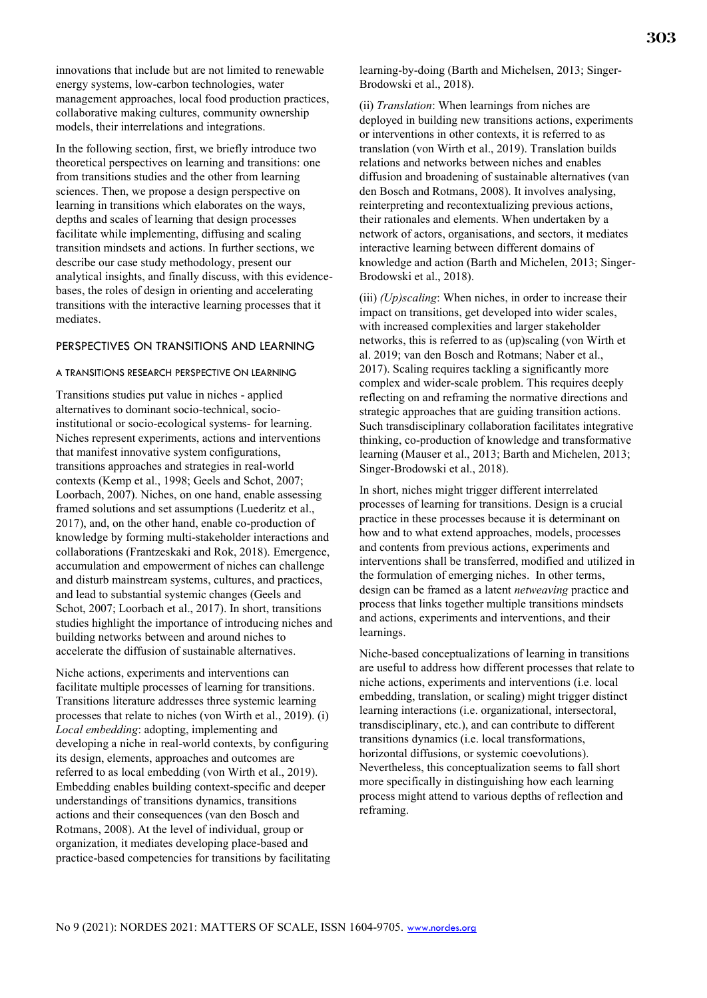innovations that include but are not limited to renewable energy systems, low-carbon technologies, water management approaches, local food production practices, collaborative making cultures, community ownership models, their interrelations and integrations.

In the following section, first, we briefly introduce two theoretical perspectives on learning and transitions: one from transitions studies and the other from learning sciences. Then, we propose a design perspective on learning in transitions which elaborates on the ways, depths and scales of learning that design processes facilitate while implementing, diffusing and scaling transition mindsets and actions. In further sections, we describe our case study methodology, present our analytical insights, and finally discuss, with this evidencebases, the roles of design in orienting and accelerating transitions with the interactive learning processes that it mediates.

#### PERSPECTIVES ON TRANSITIONS AND LEARNING

#### A TRANSITIONS RESEARCH PERSPECTIVE ON LEARNING

Transitions studies put value in niches - applied alternatives to dominant socio-technical, socioinstitutional or socio-ecological systems- for learning. Niches represent experiments, actions and interventions that manifest innovative system configurations, transitions approaches and strategies in real-world contexts (Kemp et al., 1998; Geels and Schot, 2007; Loorbach, 2007). Niches, on one hand, enable assessing framed solutions and set assumptions (Luederitz et al., 2017), and, on the other hand, enable co-production of knowledge by forming multi-stakeholder interactions and collaborations (Frantzeskaki and Rok, 2018). Emergence, accumulation and empowerment of niches can challenge and disturb mainstream systems, cultures, and practices, and lead to substantial systemic changes (Geels and Schot, 2007; Loorbach et al., 2017). In short, transitions studies highlight the importance of introducing niches and building networks between and around niches to accelerate the diffusion of sustainable alternatives.

Niche actions, experiments and interventions can facilitate multiple processes of learning for transitions. Transitions literature addresses three systemic learning processes that relate to niches (von Wirth et al., 2019). (i) *Local embedding*: adopting, implementing and developing a niche in real-world contexts, by configuring its design, elements, approaches and outcomes are referred to as local embedding (von Wirth et al., 2019). Embedding enables building context-specific and deeper understandings of transitions dynamics, transitions actions and their consequences (van den Bosch and Rotmans, 2008). At the level of individual, group or organization, it mediates developing place-based and practice-based competencies for transitions by facilitating learning-by-doing (Barth and Michelsen, 2013; Singer-Brodowski et al., 2018).

(ii) *Translation*: When learnings from niches are deployed in building new transitions actions, experiments or interventions in other contexts, it is referred to as translation (von Wirth et al., 2019). Translation builds relations and networks between niches and enables diffusion and broadening of sustainable alternatives (van den Bosch and Rotmans, 2008). It involves analysing, reinterpreting and recontextualizing previous actions, their rationales and elements. When undertaken by a network of actors, organisations, and sectors, it mediates interactive learning between different domains of knowledge and action (Barth and Michelen, 2013; Singer-Brodowski et al., 2018).

(iii) *(Up)scaling*: When niches, in order to increase their impact on transitions, get developed into wider scales, with increased complexities and larger stakeholder networks, this is referred to as (up)scaling (von Wirth et al. 2019; van den Bosch and Rotmans; Naber et al., 2017). Scaling requires tackling a significantly more complex and wider-scale problem. This requires deeply reflecting on and reframing the normative directions and strategic approaches that are guiding transition actions. Such transdisciplinary collaboration facilitates integrative thinking, co-production of knowledge and transformative learning (Mauser et al., 2013; Barth and Michelen, 2013; Singer-Brodowski et al., 2018).

In short, niches might trigger different interrelated processes of learning for transitions. Design is a crucial practice in these processes because it is determinant on how and to what extend approaches, models, processes and contents from previous actions, experiments and interventions shall be transferred, modified and utilized in the formulation of emerging niches. In other terms, design can be framed as a latent *netweaving* practice and process that links together multiple transitions mindsets and actions, experiments and interventions, and their learnings.

Niche-based conceptualizations of learning in transitions are useful to address how different processes that relate to niche actions, experiments and interventions (i.e. local embedding, translation, or scaling) might trigger distinct learning interactions (i.e. organizational, intersectoral, transdisciplinary, etc.), and can contribute to different transitions dynamics (i.e. local transformations, horizontal diffusions, or systemic coevolutions). Nevertheless, this conceptualization seems to fall short more specifically in distinguishing how each learning process might attend to various depths of reflection and reframing.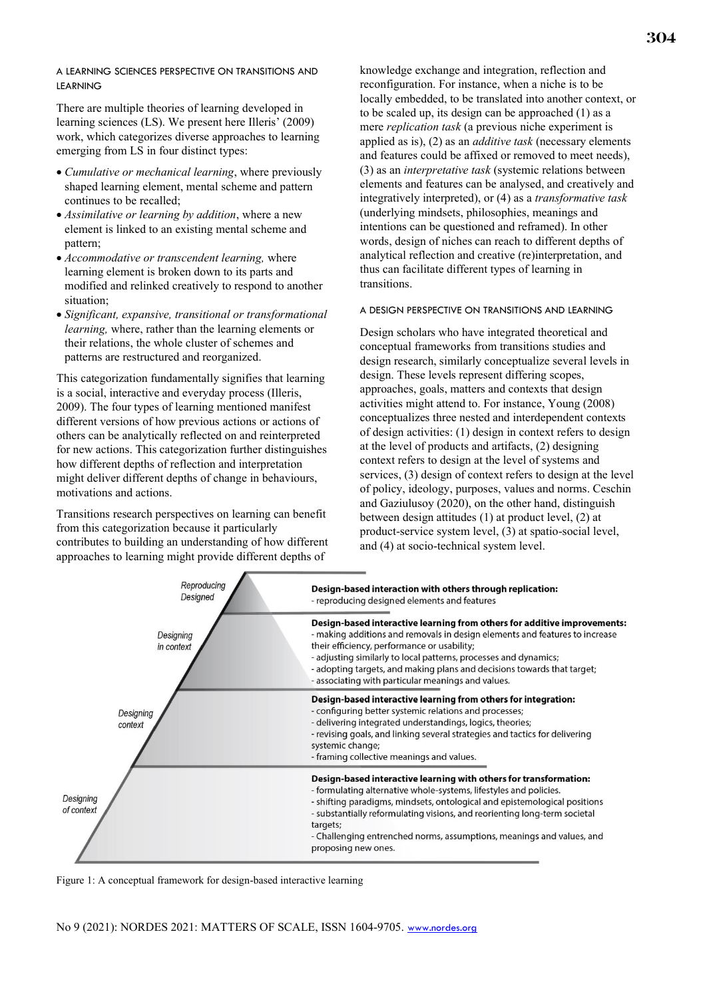#### A LEARNING SCIENCES PERSPECTIVE ON TRANSITIONS AND LEARNING

There are multiple theories of learning developed in learning sciences (LS). We present here Illeris' (2009) work, which categorizes diverse approaches to learning emerging from LS in four distinct types:

- *Cumulative or mechanical learning*, where previously shaped learning element, mental scheme and pattern continues to be recalled;
- *Assimilative or learning by addition*, where a new element is linked to an existing mental scheme and pattern;
- *Accommodative or transcendent learning,* where learning element is broken down to its parts and modified and relinked creatively to respond to another situation;
- *Significant, expansive, transitional or transformational learning,* where, rather than the learning elements or their relations, the whole cluster of schemes and patterns are restructured and reorganized.

This categorization fundamentally signifies that learning is a social, interactive and everyday process (Illeris, 2009). The four types of learning mentioned manifest different versions of how previous actions or actions of others can be analytically reflected on and reinterpreted for new actions. This categorization further distinguishes how different depths of reflection and interpretation might deliver different depths of change in behaviours, motivations and actions.

Transitions research perspectives on learning can benefit from this categorization because it particularly contributes to building an understanding of how different approaches to learning might provide different depths of

knowledge exchange and integration, reflection and reconfiguration. For instance, when a niche is to be locally embedded, to be translated into another context, or to be scaled up, its design can be approached (1) as a mere *replication task* (a previous niche experiment is applied as is), (2) as an *additive task* (necessary elements and features could be affixed or removed to meet needs), (3) as an *interpretative task* (systemic relations between elements and features can be analysed, and creatively and integratively interpreted), or (4) as a *transformative task* (underlying mindsets, philosophies, meanings and intentions can be questioned and reframed). In other words, design of niches can reach to different depths of analytical reflection and creative (re)interpretation, and thus can facilitate different types of learning in transitions.

#### A DESIGN PERSPECTIVE ON TRANSITIONS AND LEARNING

Design scholars who have integrated theoretical and conceptual frameworks from transitions studies and design research, similarly conceptualize several levels in design. These levels represent differing scopes, approaches, goals, matters and contexts that design activities might attend to. For instance, Young (2008) conceptualizes three nested and interdependent contexts of design activities: (1) design in context refers to design at the level of products and artifacts, (2) designing context refers to design at the level of systems and services, (3) design of context refers to design at the level of policy, ideology, purposes, values and norms. Ceschin and Gaziulusoy (2020), on the other hand, distinguish between design attitudes (1) at product level, (2) at product-service system level, (3) at spatio-social level, and (4) at socio-technical system level.



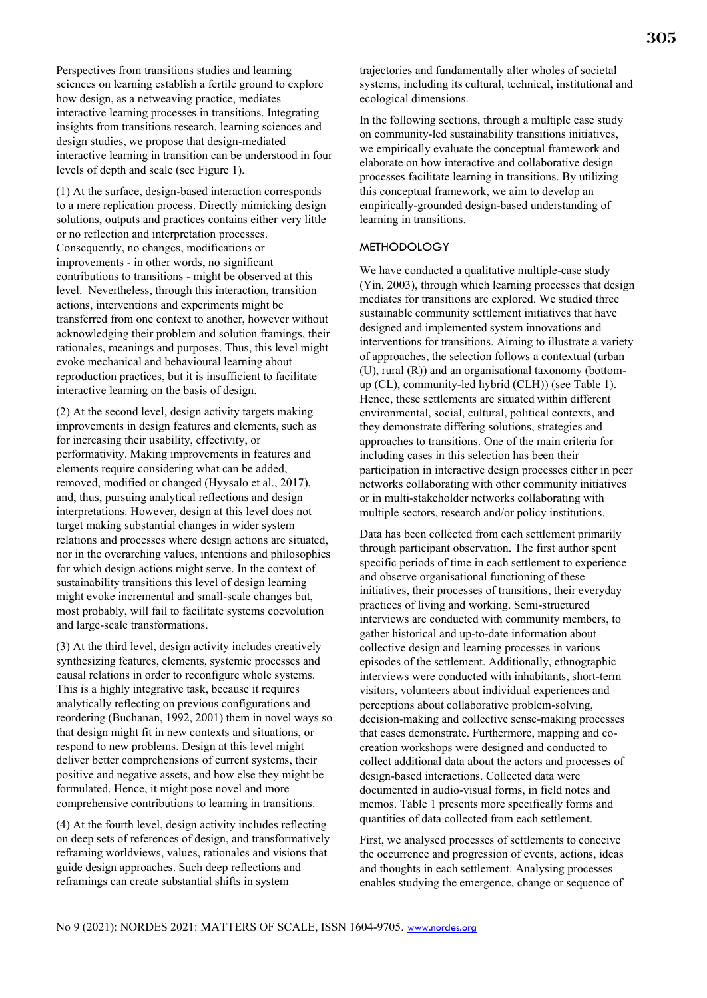Perspectives from transitions studies and learning sciences on learning establish a fertile ground to explore how design, as a netweaving practice, mediates interactive learning processes in transitions. Integrating insights from transitions research, learning sciences and design studies, we propose that design-mediated interactive learning in transition can be understood in four levels of depth and scale (see Figure 1).

(1) At the surface, design-based interaction corresponds to a mere replication process. Directly mimicking design solutions, outputs and practices contains either very little or no reflection and interpretation processes. Consequently, no changes, modifications or improvements - in other words, no significant contributions to transitions - might be observed at this level. Nevertheless, through this interaction, transition actions, interventions and experiments might be transferred from one context to another, however without acknowledging their problem and solution framings, their rationales, meanings and purposes. Thus, this level might evoke mechanical and behavioural learning about reproduction practices, but it is insufficient to facilitate interactive learning on the basis of design.

(2) At the second level, design activity targets making improvements in design features and elements, such as for increasing their usability, effectivity, or performativity. Making improvements in features and elements require considering what can be added, removed, modified or changed (Hyysalo et al., 2017), and, thus, pursuing analytical reflections and design interpretations. However, design at this level does not target making substantial changes in wider system relations and processes where design actions are situated, nor in the overarching values, intentions and philosophies for which design actions might serve. In the context of sustainability transitions this level of design learning might evoke incremental and small-scale changes but, most probably, will fail to facilitate systems coevolution and large-scale transformations.

(3) At the third level, design activity includes creatively synthesizing features, elements, systemic processes and causal relations in order to reconfigure whole systems. This is a highly integrative task, because it requires analytically reflecting on previous configurations and reordering (Buchanan, 1992, 2001) them in novel ways so that design might fit in new contexts and situations, or respond to new problems. Design at this level might deliver better comprehensions of current systems, their positive and negative assets, and how else they might be formulated. Hence, it might pose novel and more comprehensive contributions to learning in transitions.

(4) At the fourth level, design activity includes reflecting on deep sets of references of design, and transformatively reframing worldviews, values, rationales and visions that guide design approaches. Such deep reflections and reframings can create substantial shifts in system

trajectories and fundamentally alter wholes of societal systems, including its cultural, technical, institutional and ecological dimensions.

In the following sections, through a multiple case study on community-led sustainability transitions initiatives, we empirically evaluate the conceptual framework and elaborate on how interactive and collaborative design processes facilitate learning in transitions. By utilizing this conceptual framework, we aim to develop an empirically-grounded design-based understanding of learning in transitions.

#### METHODOLOGY

We have conducted a qualitative multiple-case study (Yin, 2003), through which learning processes that design mediates for transitions are explored. We studied three sustainable community settlement initiatives that have designed and implemented system innovations and interventions for transitions. Aiming to illustrate a variety of approaches, the selection follows a contextual (urban (U), rural (R)) and an organisational taxonomy (bottomup (CL), community-led hybrid (CLH)) (see Table 1). Hence, these settlements are situated within different environmental, social, cultural, political contexts, and they demonstrate differing solutions, strategies and approaches to transitions. One of the main criteria for including cases in this selection has been their participation in interactive design processes either in peer networks collaborating with other community initiatives or in multi-stakeholder networks collaborating with multiple sectors, research and/or policy institutions.

Data has been collected from each settlement primarily through participant observation. The first author spent specific periods of time in each settlement to experience and observe organisational functioning of these initiatives, their processes of transitions, their everyday practices of living and working. Semi-structured interviews are conducted with community members, to gather historical and up-to-date information about collective design and learning processes in various episodes of the settlement. Additionally, ethnographic interviews were conducted with inhabitants, short-term visitors, volunteers about individual experiences and perceptions about collaborative problem-solving, decision-making and collective sense-making processes that cases demonstrate. Furthermore, mapping and cocreation workshops were designed and conducted to collect additional data about the actors and processes of design-based interactions. Collected data were documented in audio-visual forms, in field notes and memos. Table 1 presents more specifically forms and quantities of data collected from each settlement.

First, we analysed processes of settlements to conceive the occurrence and progression of events, actions, ideas and thoughts in each settlement. Analysing processes enables studying the emergence, change or sequence of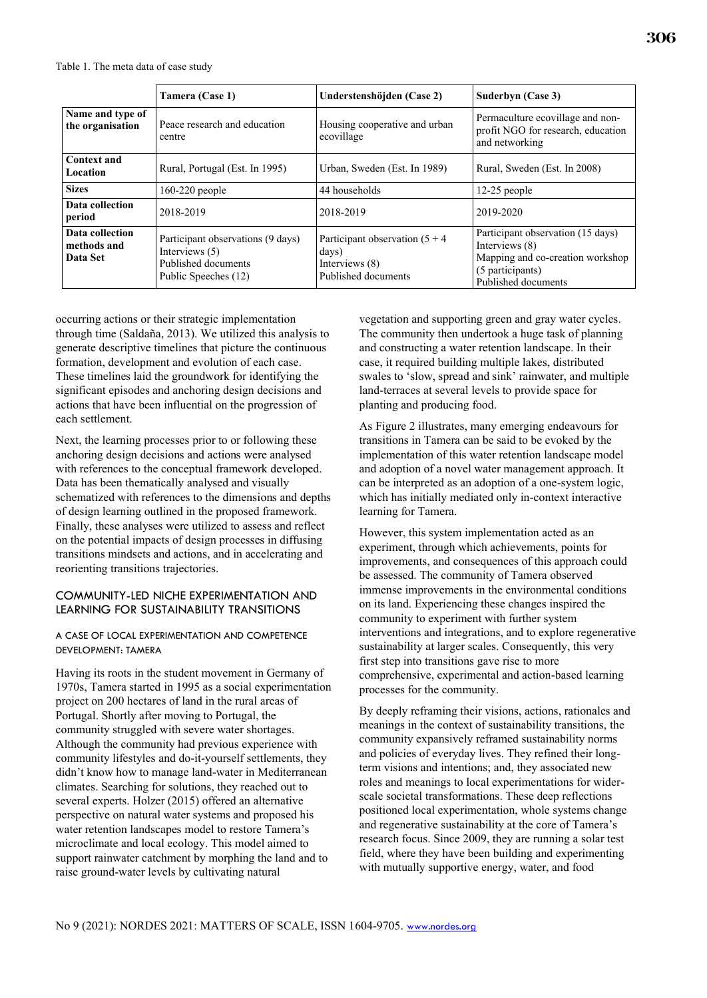|                                            | Tamera (Case 1)                                                                                    | Understenshöjden (Case 2)                                                           | Suderbyn (Case 3)                                                                                                                  |
|--------------------------------------------|----------------------------------------------------------------------------------------------------|-------------------------------------------------------------------------------------|------------------------------------------------------------------------------------------------------------------------------------|
| Name and type of<br>the organisation       | Peace research and education<br>centre                                                             | Housing cooperative and urban<br>ecovillage                                         | Permaculture ecovillage and non-<br>profit NGO for research, education<br>and networking                                           |
| Context and<br>Location                    | Rural, Portugal (Est. In 1995)                                                                     | Urban, Sweden (Est. In 1989)                                                        | Rural, Sweden (Est. In 2008)                                                                                                       |
| <b>Sizes</b>                               | $160-220$ people                                                                                   | 44 households                                                                       | $12-25$ people                                                                                                                     |
| Data collection<br>period                  | 2018-2019                                                                                          | 2018-2019                                                                           | 2019-2020                                                                                                                          |
| Data collection<br>methods and<br>Data Set | Participant observations (9 days)<br>Interviews (5)<br>Published documents<br>Public Speeches (12) | Participant observation $(5 + 4)$<br>days)<br>Interviews (8)<br>Published documents | Participant observation (15 days)<br>Interviews (8)<br>Mapping and co-creation workshop<br>(5 participants)<br>Published documents |

occurring actions or their strategic implementation through time (Saldaña, 2013). We utilized this analysis to generate descriptive timelines that picture the continuous formation, development and evolution of each case. These timelines laid the groundwork for identifying the significant episodes and anchoring design decisions and actions that have been influential on the progression of each settlement.

Next, the learning processes prior to or following these anchoring design decisions and actions were analysed with references to the conceptual framework developed. Data has been thematically analysed and visually schematized with references to the dimensions and depths of design learning outlined in the proposed framework. Finally, these analyses were utilized to assess and reflect on the potential impacts of design processes in diffusing transitions mindsets and actions, and in accelerating and reorienting transitions trajectories.

#### COMMUNITY-LED NICHE EXPERIMENTATION AND LEARNING FOR SUSTAINABILITY TRANSITIONS

#### A CASE OF LOCAL EXPERIMENTATION AND COMPETENCE DEVELOPMENT: TAMERA

Having its roots in the student movement in Germany of 1970s, Tamera started in 1995 as a social experimentation project on 200 hectares of land in the rural areas of Portugal. Shortly after moving to Portugal, the community struggled with severe water shortages. Although the community had previous experience with community lifestyles and do-it-yourself settlements, they didn't know how to manage land-water in Mediterranean climates. Searching for solutions, they reached out to several experts. Holzer (2015) offered an alternative perspective on natural water systems and proposed his water retention landscapes model to restore Tamera's microclimate and local ecology. This model aimed to support rainwater catchment by morphing the land and to raise ground-water levels by cultivating natural

vegetation and supporting green and gray water cycles. The community then undertook a huge task of planning and constructing a water retention landscape. In their case, it required building multiple lakes, distributed swales to 'slow, spread and sink' rainwater, and multiple land-terraces at several levels to provide space for planting and producing food.

As Figure 2 illustrates, many emerging endeavours for transitions in Tamera can be said to be evoked by the implementation of this water retention landscape model and adoption of a novel water management approach. It can be interpreted as an adoption of a one-system logic, which has initially mediated only in-context interactive learning for Tamera.

However, this system implementation acted as an experiment, through which achievements, points for improvements, and consequences of this approach could be assessed. The community of Tamera observed immense improvements in the environmental conditions on its land. Experiencing these changes inspired the community to experiment with further system interventions and integrations, and to explore regenerative sustainability at larger scales. Consequently, this very first step into transitions gave rise to more comprehensive, experimental and action-based learning processes for the community.

By deeply reframing their visions, actions, rationales and meanings in the context of sustainability transitions, the community expansively reframed sustainability norms and policies of everyday lives. They refined their longterm visions and intentions; and, they associated new roles and meanings to local experimentations for widerscale societal transformations. These deep reflections positioned local experimentation, whole systems change and regenerative sustainability at the core of Tamera's research focus. Since 2009, they are running a solar test field, where they have been building and experimenting with mutually supportive energy, water, and food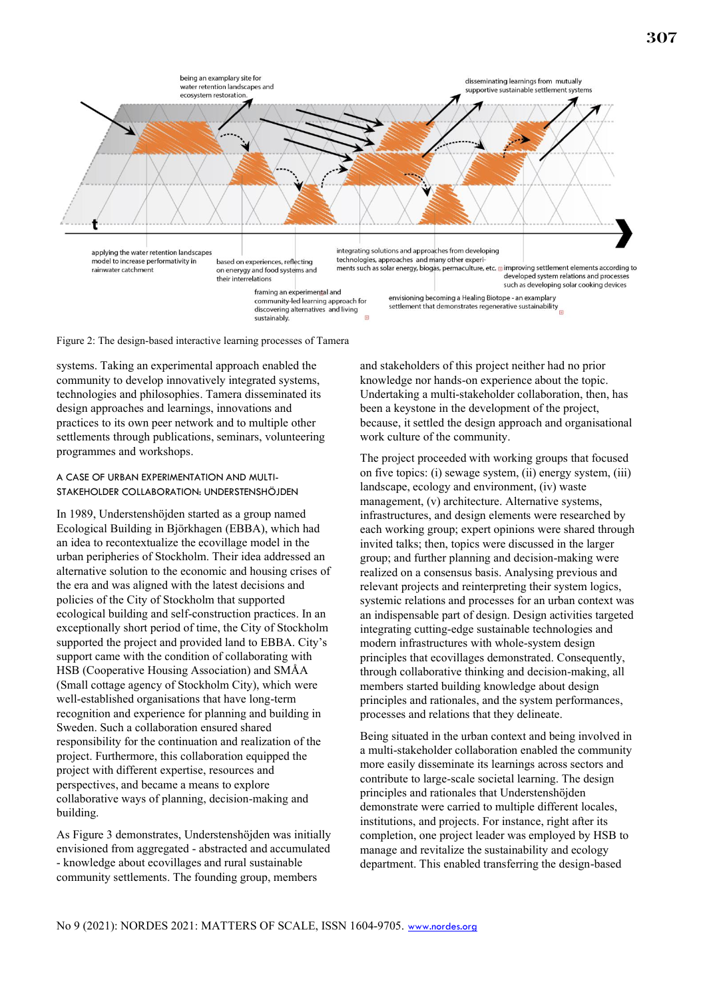

Figure 2: The design-based interactive learning processes of Tamera

systems. Taking an experimental approach enabled the community to develop innovatively integrated systems, technologies and philosophies. Tamera disseminated its design approaches and learnings, innovations and practices to its own peer network and to multiple other settlements through publications, seminars, volunteering programmes and workshops.

#### A CASE OF URBAN EXPERIMENTATION AND MULTI-STAKEHOLDER COLLABORATION: UNDERSTENSHÖJDEN

In 1989, Understenshöjden started as a group named Ecological Building in Björkhagen (EBBA), which had an idea to recontextualize the ecovillage model in the urban peripheries of Stockholm. Their idea addressed an alternative solution to the economic and housing crises of the era and was aligned with the latest decisions and policies of the City of Stockholm that supported ecological building and self-construction practices. In an exceptionally short period of time, the City of Stockholm supported the project and provided land to EBBA. City's support came with the condition of collaborating with HSB (Cooperative Housing Association) and SMÅA (Small cottage agency of Stockholm City), which were well-established organisations that have long-term recognition and experience for planning and building in Sweden. Such a collaboration ensured shared responsibility for the continuation and realization of the project. Furthermore, this collaboration equipped the project with different expertise, resources and perspectives, and became a means to explore collaborative ways of planning, decision-making and building.

As Figure 3 demonstrates, Understenshöjden was initially envisioned from aggregated - abstracted and accumulated - knowledge about ecovillages and rural sustainable community settlements. The founding group, members

and stakeholders of this project neither had no prior knowledge nor hands-on experience about the topic. Undertaking a multi-stakeholder collaboration, then, has been a keystone in the development of the project, because, it settled the design approach and organisational work culture of the community.

The project proceeded with working groups that focused on five topics: (i) sewage system, (ii) energy system, (iii) landscape, ecology and environment, (iv) waste management, (v) architecture. Alternative systems, infrastructures, and design elements were researched by each working group; expert opinions were shared through invited talks; then, topics were discussed in the larger group; and further planning and decision-making were realized on a consensus basis. Analysing previous and relevant projects and reinterpreting their system logics, systemic relations and processes for an urban context was an indispensable part of design. Design activities targeted integrating cutting-edge sustainable technologies and modern infrastructures with whole-system design principles that ecovillages demonstrated. Consequently, through collaborative thinking and decision-making, all members started building knowledge about design principles and rationales, and the system performances, processes and relations that they delineate.

Being situated in the urban context and being involved in a multi-stakeholder collaboration enabled the community more easily disseminate its learnings across sectors and contribute to large-scale societal learning. The design principles and rationales that Understenshöjden demonstrate were carried to multiple different locales, institutions, and projects. For instance, right after its completion, one project leader was employed by HSB to manage and revitalize the sustainability and ecology department. This enabled transferring the design-based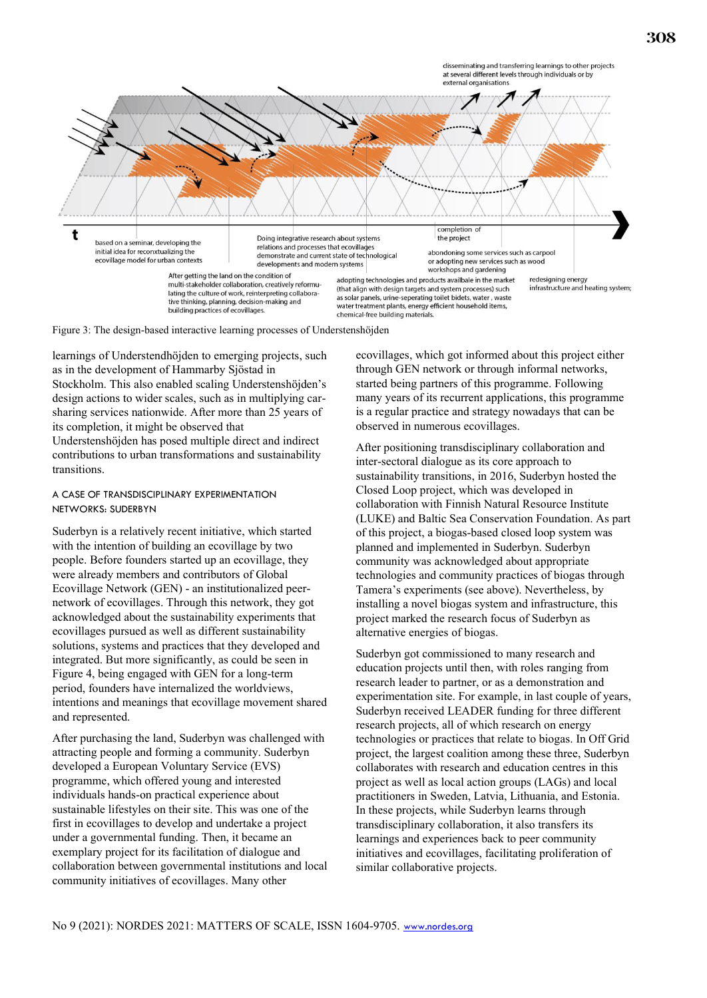



Figure 3: The design-based interactive learning processes of Understenshöjden

learnings of Understendhöjden to emerging projects, such as in the development of Hammarby Sjöstad in Stockholm. This also enabled scaling Understenshöjden's design actions to wider scales, such as in multiplying carsharing services nationwide. After more than 25 years of its completion, it might be observed that

Understenshöjden has posed multiple direct and indirect contributions to urban transformations and sustainability transitions.

#### A CASE OF TRANSDISCIPLINARY EXPERIMENTATION NETWORKS: SUDERBYN

Suderbyn is a relatively recent initiative, which started with the intention of building an ecovillage by two people. Before founders started up an ecovillage, they were already members and contributors of Global Ecovillage Network (GEN) - an institutionalized peernetwork of ecovillages. Through this network, they got acknowledged about the sustainability experiments that ecovillages pursued as well as different sustainability solutions, systems and practices that they developed and integrated. But more significantly, as could be seen in Figure 4, being engaged with GEN for a long-term period, founders have internalized the worldviews, intentions and meanings that ecovillage movement shared and represented.

After purchasing the land, Suderbyn was challenged with attracting people and forming a community. Suderbyn developed a European Voluntary Service (EVS) programme, which offered young and interested individuals hands-on practical experience about sustainable lifestyles on their site. This was one of the first in ecovillages to develop and undertake a project under a governmental funding. Then, it became an exemplary project for its facilitation of dialogue and collaboration between governmental institutions and local community initiatives of ecovillages. Many other

ecovillages, which got informed about this project either through GEN network or through informal networks, started being partners of this programme. Following many years of its recurrent applications, this programme is a regular practice and strategy nowadays that can be observed in numerous ecovillages.

After positioning transdisciplinary collaboration and inter-sectoral dialogue as its core approach to sustainability transitions, in 2016, Suderbyn hosted the Closed Loop project, which was developed in collaboration with Finnish Natural Resource Institute (LUKE) and Baltic Sea Conservation Foundation. As part of this project, a biogas-based closed loop system was planned and implemented in Suderbyn. Suderbyn community was acknowledged about appropriate technologies and community practices of biogas through Tamera's experiments (see above). Nevertheless, by installing a novel biogas system and infrastructure, this project marked the research focus of Suderbyn as alternative energies of biogas.

Suderbyn got commissioned to many research and education projects until then, with roles ranging from research leader to partner, or as a demonstration and experimentation site. For example, in last couple of years, Suderbyn received LEADER funding for three different research projects, all of which research on energy technologies or practices that relate to biogas. In Off Grid project, the largest coalition among these three, Suderbyn collaborates with research and education centres in this project as well as local action groups (LAGs) and local practitioners in Sweden, Latvia, Lithuania, and Estonia. In these projects, while Suderbyn learns through transdisciplinary collaboration, it also transfers its learnings and experiences back to peer community initiatives and ecovillages, facilitating proliferation of similar collaborative projects.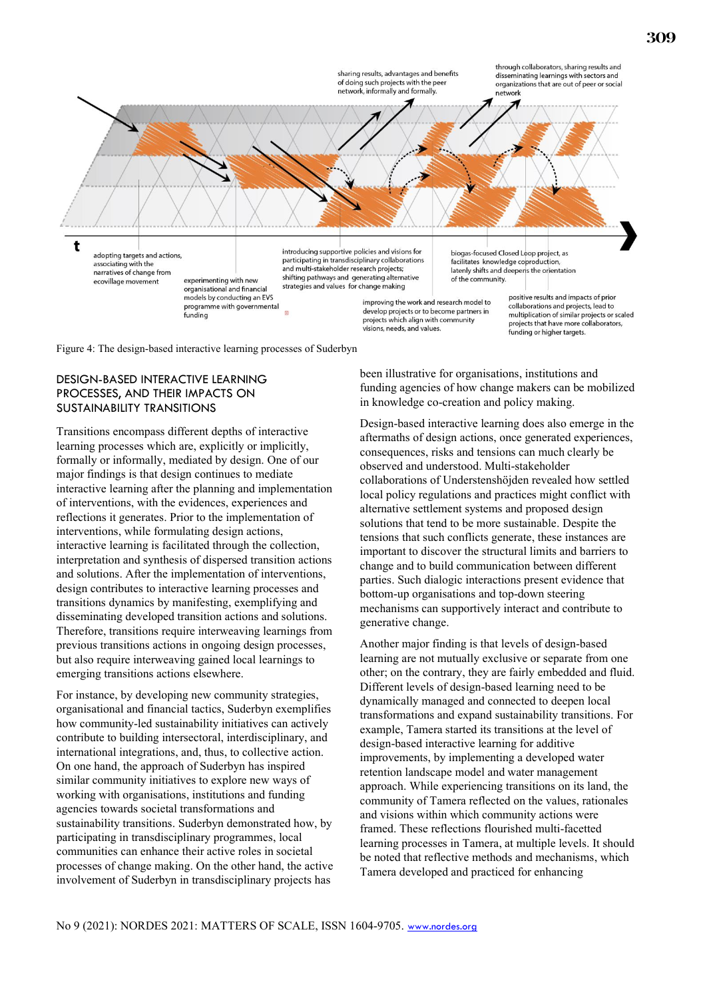

Figure 4: The design-based interactive learning processes of Suderbyn

## DESIGN-BASED INTERACTIVE LEARNING PROCESSES, AND THEIR IMPACTS ON SUSTAINABILITY TRANSITIONS

Transitions encompass different depths of interactive learning processes which are, explicitly or implicitly, formally or informally, mediated by design. One of our major findings is that design continues to mediate interactive learning after the planning and implementation of interventions, with the evidences, experiences and reflections it generates. Prior to the implementation of interventions, while formulating design actions, interactive learning is facilitated through the collection, interpretation and synthesis of dispersed transition actions and solutions. After the implementation of interventions, design contributes to interactive learning processes and transitions dynamics by manifesting, exemplifying and disseminating developed transition actions and solutions. Therefore, transitions require interweaving learnings from previous transitions actions in ongoing design processes, but also require interweaving gained local learnings to emerging transitions actions elsewhere.

For instance, by developing new community strategies, organisational and financial tactics, Suderbyn exemplifies how community-led sustainability initiatives can actively contribute to building intersectoral, interdisciplinary, and international integrations, and, thus, to collective action. On one hand, the approach of Suderbyn has inspired similar community initiatives to explore new ways of working with organisations, institutions and funding agencies towards societal transformations and sustainability transitions. Suderbyn demonstrated how, by participating in transdisciplinary programmes, local communities can enhance their active roles in societal processes of change making. On the other hand, the active involvement of Suderbyn in transdisciplinary projects has

been illustrative for organisations, institutions and funding agencies of how change makers can be mobilized in knowledge co-creation and policy making.

Design-based interactive learning does also emerge in the aftermaths of design actions, once generated experiences, consequences, risks and tensions can much clearly be observed and understood. Multi-stakeholder collaborations of Understenshöjden revealed how settled local policy regulations and practices might conflict with alternative settlement systems and proposed design solutions that tend to be more sustainable. Despite the tensions that such conflicts generate, these instances are important to discover the structural limits and barriers to change and to build communication between different parties. Such dialogic interactions present evidence that bottom-up organisations and top-down steering mechanisms can supportively interact and contribute to generative change.

Another major finding is that levels of design-based learning are not mutually exclusive or separate from one other; on the contrary, they are fairly embedded and fluid. Different levels of design-based learning need to be dynamically managed and connected to deepen local transformations and expand sustainability transitions. For example, Tamera started its transitions at the level of design-based interactive learning for additive improvements, by implementing a developed water retention landscape model and water management approach. While experiencing transitions on its land, the community of Tamera reflected on the values, rationales and visions within which community actions were framed. These reflections flourished multi-facetted learning processes in Tamera, at multiple levels. It should be noted that reflective methods and mechanisms, which Tamera developed and practiced for enhancing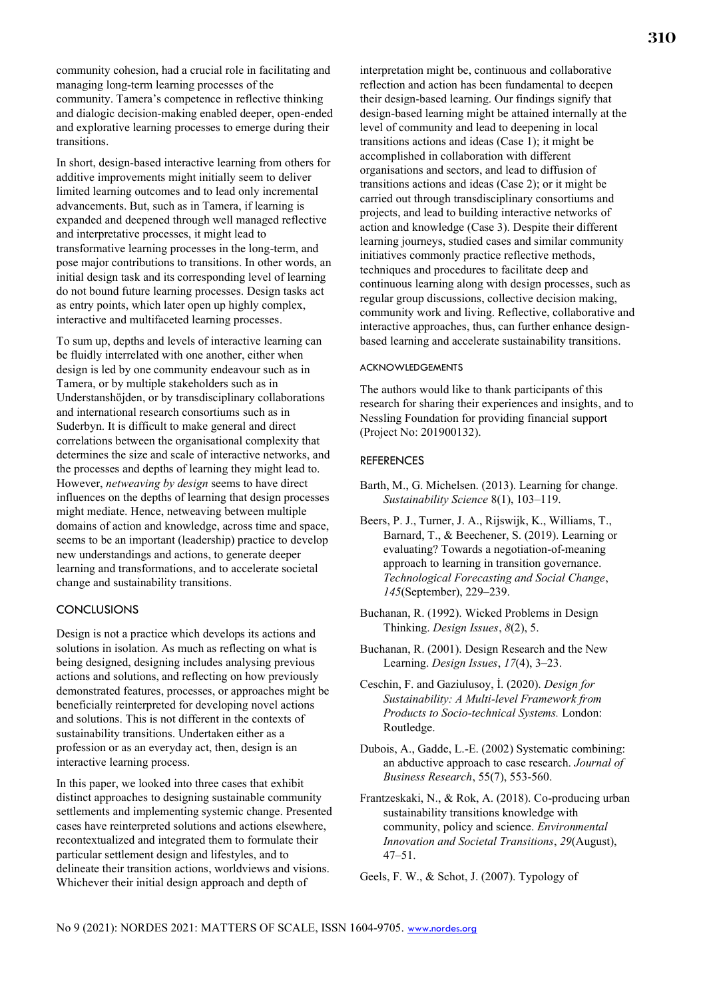community cohesion, had a crucial role in facilitating and managing long-term learning processes of the community. Tamera's competence in reflective thinking and dialogic decision-making enabled deeper, open-ended and explorative learning processes to emerge during their transitions.

In short, design-based interactive learning from others for additive improvements might initially seem to deliver limited learning outcomes and to lead only incremental advancements. But, such as in Tamera, if learning is expanded and deepened through well managed reflective and interpretative processes, it might lead to transformative learning processes in the long-term, and pose major contributions to transitions. In other words, an initial design task and its corresponding level of learning do not bound future learning processes. Design tasks act as entry points, which later open up highly complex, interactive and multifaceted learning processes.

To sum up, depths and levels of interactive learning can be fluidly interrelated with one another, either when design is led by one community endeavour such as in Tamera, or by multiple stakeholders such as in Understanshöjden, or by transdisciplinary collaborations and international research consortiums such as in Suderbyn. It is difficult to make general and direct correlations between the organisational complexity that determines the size and scale of interactive networks, and the processes and depths of learning they might lead to. However, *netweaving by design* seems to have direct influences on the depths of learning that design processes might mediate. Hence, netweaving between multiple domains of action and knowledge, across time and space, seems to be an important (leadership) practice to develop new understandings and actions, to generate deeper learning and transformations, and to accelerate societal change and sustainability transitions.

### **CONCLUSIONS**

Design is not a practice which develops its actions and solutions in isolation. As much as reflecting on what is being designed, designing includes analysing previous actions and solutions, and reflecting on how previously demonstrated features, processes, or approaches might be beneficially reinterpreted for developing novel actions and solutions. This is not different in the contexts of sustainability transitions. Undertaken either as a profession or as an everyday act, then, design is an interactive learning process.

In this paper, we looked into three cases that exhibit distinct approaches to designing sustainable community settlements and implementing systemic change. Presented cases have reinterpreted solutions and actions elsewhere, recontextualized and integrated them to formulate their particular settlement design and lifestyles, and to delineate their transition actions, worldviews and visions. Whichever their initial design approach and depth of

interpretation might be, continuous and collaborative reflection and action has been fundamental to deepen their design-based learning. Our findings signify that design-based learning might be attained internally at the level of community and lead to deepening in local transitions actions and ideas (Case 1); it might be accomplished in collaboration with different organisations and sectors, and lead to diffusion of transitions actions and ideas (Case 2); or it might be carried out through transdisciplinary consortiums and projects, and lead to building interactive networks of action and knowledge (Case 3). Despite their different learning journeys, studied cases and similar community initiatives commonly practice reflective methods, techniques and procedures to facilitate deep and continuous learning along with design processes, such as regular group discussions, collective decision making, community work and living. Reflective, collaborative and interactive approaches, thus, can further enhance designbased learning and accelerate sustainability transitions.

#### ACKNOWLEDGEMENTS

The authors would like to thank participants of this research for sharing their experiences and insights, and to Nessling Foundation for providing financial support (Project No: 201900132).

#### **REFERENCES**

- Barth, M., G. Michelsen. (2013). Learning for change. *Sustainability Science* 8(1), 103–119.
- Beers, P. J., Turner, J. A., Rijswijk, K., Williams, T., Barnard, T., & Beechener, S. (2019). Learning or evaluating? Towards a negotiation-of-meaning approach to learning in transition governance. *Technological Forecasting and Social Change*, *145*(September), 229–239.
- Buchanan, R. (1992). Wicked Problems in Design Thinking. *Design Issues*, *8*(2), 5.
- Buchanan, R. (2001). Design Research and the New Learning. *Design Issues*, *17*(4), 3–23.
- Ceschin, F. and Gaziulusoy, İ. (2020). *Design for Sustainability: A Multi-level Framework from Products to Socio-technical Systems.* London: Routledge.
- Dubois, A., Gadde, L.-E. (2002) Systematic combining: an abductive approach to case research. *Journal of Business Research*, 55(7), 553-560.
- Frantzeskaki, N., & Rok, A. (2018). Co-producing urban sustainability transitions knowledge with community, policy and science. *Environmental Innovation and Societal Transitions*, *29*(August), 47–51.
- Geels, F. W., & Schot, J. (2007). Typology of